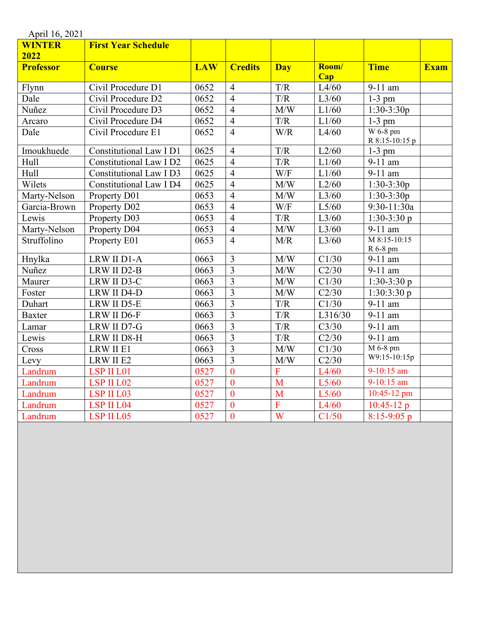| April 16, 2021   |                            |            |                |                                                             |              |                       |             |
|------------------|----------------------------|------------|----------------|-------------------------------------------------------------|--------------|-----------------------|-------------|
| <b>WINTER</b>    | <b>First Year Schedule</b> |            |                |                                                             |              |                       |             |
| 2022             |                            |            |                |                                                             |              |                       |             |
| <b>Professor</b> | <b>Course</b>              | <b>LAW</b> | <b>Credits</b> | <b>Day</b>                                                  | Room/<br>Cap | <b>Time</b>           | <b>Exam</b> |
| Flynn            | Civil Procedure D1         | 0652       | $\overline{4}$ | T/R                                                         | L4/60        | 9-11 am               |             |
| Dale             | Civil Procedure D2         | 0652       | $\overline{4}$ | T/R                                                         | L3/60        | $1-3$ pm              |             |
| Nuñez            | Civil Procedure D3         | 0652       | $\overline{4}$ | $\overline{M/W}$                                            | L1/60        | $1:30-3:30p$          |             |
| Arcaro           | Civil Procedure D4         | 0652       | $\overline{4}$ | T/R                                                         | L1/60        | $1-3$ pm              |             |
| Dale             | Civil Procedure E1         | 0652       | $\overline{4}$ | W/R                                                         | L4/60        | W 6-8 pm              |             |
|                  |                            |            |                |                                                             |              | R 8:15-10:15 p        |             |
| Imoukhuede       | Constitutional Law I D1    | 0625       | $\overline{4}$ | T/R                                                         | L2/60        | $1-3$ pm              |             |
| Hull             | Constitutional Law I D2    | 0625       | $\overline{4}$ | T/R                                                         | L1/60        | 9-11 am               |             |
| Hull             | Constitutional Law I D3    | 0625       | $\overline{4}$ | $\overline{W/F}$                                            | L1/60        | 9-11 am               |             |
| Wilets           | Constitutional Law I D4    | 0625       | $\overline{4}$ | M/W                                                         | L2/60        | $1:30-3:30p$          |             |
| Marty-Nelson     | Property D01               | 0653       | $\overline{4}$ | M/W                                                         | L3/60        | $1:30-3:30p$          |             |
| Garcia-Brown     | Property D02               | 0653       | $\overline{4}$ | $\ensuremath{\text{W}}\xspace/\ensuremath{\text{F}}\xspace$ | L5/60        | 9:30-11:30a           |             |
| Lewis            | Property D03               | 0653       | $\overline{4}$ | T/R                                                         | L3/60        | $1:30-3:30p$          |             |
| Marty-Nelson     | Property D04               | 0653       | $\overline{4}$ | M/W                                                         | L3/60        | 9-11 am               |             |
| Struffolino      | Property E01               | 0653       | $\overline{4}$ | M/R                                                         | L3/60        | M 8:15-10:15          |             |
|                  |                            |            |                |                                                             |              | R 6-8 pm              |             |
| Hnylka           | LRW II D1-A                | 0663       | $\overline{3}$ | M/W                                                         | C1/30        | $9-11$ am             |             |
| Nuñez            | LRW II D2-B                | 0663       | $\overline{3}$ | M/W                                                         | C2/30        | 9-11 am               |             |
| Maurer           | LRW II D3-C                | 0663       | $\overline{3}$ | M/W                                                         | C1/30        | $1:30-3:30p$          |             |
| Foster           | LRW II D4-D                | 0663       | $\overline{3}$ | M/W                                                         | C2/30        | 1:30:3:30p            |             |
| Duhart           | LRW II D5-E                | 0663       | $\overline{3}$ | T/R                                                         | C1/30        | 9-11 am               |             |
| <b>Baxter</b>    | LRW II D6-F                | 0663       | $\overline{3}$ | T/R                                                         | L316/30      | 9-11 am               |             |
| Lamar            | LRW II D7-G                | 0663       | $\overline{3}$ | T/R                                                         | C3/30        | 9-11 am               |             |
| Lewis            | LRW II D8-H                | 0663       | $\overline{3}$ | T/R                                                         | C2/30        | $\overline{9}$ -11 am |             |
| Cross            | LRW II E1                  | 0663       | $\overline{3}$ | M/W                                                         | C1/30        | M 6-8 pm              |             |
| Levy             | LRW II E2                  | 0663       | $\overline{3}$ | M/W                                                         | C2/30        | W9:15-10:15p          |             |
| Landrum          | LSP II L01                 | 0527       | $\overline{0}$ | F                                                           | L4/60        | $9-10:15$ am          |             |
| Landrum          | LSP II L02                 | 0527       | $\mathbf{0}$   | M                                                           | L5/60        | 9-10:15 am            |             |
| Landrum          | LSP II L03                 | 0527       | $\overline{0}$ | M                                                           | L5/60        | 10:45-12 pm           |             |
| Landrum          | LSP II L04                 | 0527       | $\mathbf{0}$   | $\overline{F}$                                              | L4/60        | $10:45-12 p$          |             |
| Landrum          | LSP II L05                 | 0527       | $\overline{0}$ | $\overline{\mathbf{W}}$                                     | C1/50        | $8:15-9:05$ p         |             |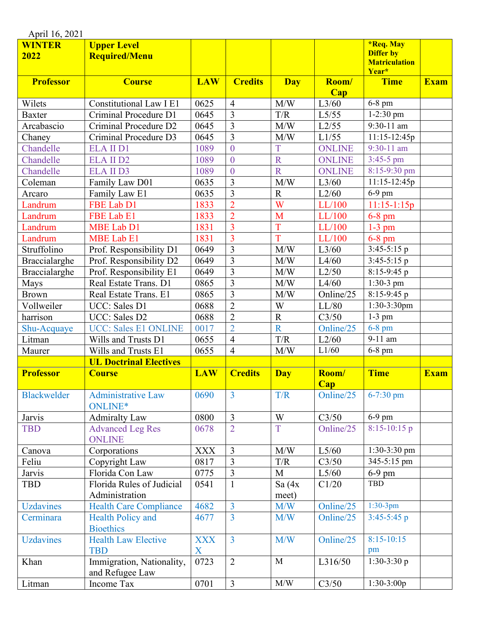| April 16, 2021        |                                              |                 |                |                         |                     |                                                                       |             |  |
|-----------------------|----------------------------------------------|-----------------|----------------|-------------------------|---------------------|-----------------------------------------------------------------------|-------------|--|
| <b>WINTER</b><br>2022 | <b>Upper Level</b><br><b>Required/Menu</b>   |                 |                |                         |                     | <b>*Req. May</b><br><b>Differ</b> by<br><b>Matriculation</b><br>Year* |             |  |
| <b>Professor</b>      | <b>Course</b>                                | <b>LAW</b>      | <b>Credits</b> | <b>Day</b>              | Room/<br><b>Cap</b> | <b>Time</b>                                                           | <b>Exam</b> |  |
| Wilets                | <b>Constitutional Law I E1</b>               | 0625            | $\overline{4}$ | M/W                     | L3/60               | $6-8$ pm                                                              |             |  |
| <b>Baxter</b>         | Criminal Procedure D1                        | 0645            | $\overline{3}$ | T/R                     | L5/55               | $1-2:30$ pm                                                           |             |  |
| Arcabascio            | Criminal Procedure D2                        | 0645            | $\overline{3}$ | M/W                     | L2/55               | $9:30-11$ am                                                          |             |  |
| Chaney                | Criminal Procedure D3                        | 0645            | $\overline{3}$ | M/W                     | L1/55               | $11:15-12:45p$                                                        |             |  |
| Chandelle             | <b>ELA II D1</b>                             | 1089            | $\overline{0}$ | T                       | <b>ONLINE</b>       | $9:30-11$ am                                                          |             |  |
| Chandelle             | <b>ELA II D2</b>                             | 1089            | $\overline{0}$ | $\overline{\mathbf{R}}$ | <b>ONLINE</b>       | $3:45-5$ pm                                                           |             |  |
| Chandelle             | <b>ELA II D3</b>                             | 1089            | $\overline{0}$ | $\overline{R}$          | <b>ONLINE</b>       | 8:15-9:30 pm                                                          |             |  |
| Coleman               | Family Law D01                               | 0635            | $\overline{3}$ | M/W                     | L3/60               | $11:15-12:45p$                                                        |             |  |
| Arcaro                | Family Law E1                                | 0635            | 3              | $\mathbf R$             | L2/60               | 6-9 pm                                                                |             |  |
| Landrum               | FBE Lab D1                                   | 1833            | $\overline{2}$ | W                       | LL/100              | $11:15-1:15p$                                                         |             |  |
| Landrum               | FBE Lab E1                                   | 1833            | $\overline{2}$ | M                       | LL/100              | $6-8$ pm                                                              |             |  |
| Landrum               | <b>MBE Lab D1</b>                            | 1831            | $\overline{3}$ | T                       | LL/100              | $1-3$ pm                                                              |             |  |
| Landrum               | <b>MBE Lab E1</b>                            | 1831            | $\overline{3}$ | T                       | LL/100              | 6-8 pm                                                                |             |  |
| Struffolino           | Prof. Responsibility D1                      | 0649            | $\overline{3}$ | M/W                     | L3/60               | $3:45-5:15$ p                                                         |             |  |
| Braccialarghe         | Prof. Responsibility D2                      | 0649            | 3              | M/W                     | L4/60               | $3:45-5:15$ p                                                         |             |  |
| Braccialarghe         | Prof. Responsibility E1                      | 0649            | $\overline{3}$ | M/W                     | L2/50               | $8:15-9:45$ p                                                         |             |  |
| Mays                  | Real Estate Trans. D1                        | 0865            | 3              | M/W                     | L4/60               | 1:30-3 pm                                                             |             |  |
| <b>Brown</b>          | Real Estate Trans. E1                        | 0865            | $\overline{3}$ | M/W                     | Online/25           | $8:15-9:45$ p                                                         |             |  |
| Vollweiler            | UCC: Sales D1                                | 0688            | $\overline{2}$ | W                       | LL/80               | 1:30-3:30pm                                                           |             |  |
| harrison              | UCC: Sales D2                                | 0688            | $\overline{2}$ | $\mathbb{R}$            | C3/50               | $1-3$ pm                                                              |             |  |
| Shu-Acquaye           | <b>UCC: Sales E1 ONLINE</b>                  | 0017            | $\overline{2}$ | $\overline{\text{R}}$   | Online/25           | $6-8$ pm                                                              |             |  |
| Litman                | Wills and Trusts D1                          | 0655            | $\overline{4}$ | T/R                     | L2/60               | 9-11 am                                                               |             |  |
| Maurer                | Wills and Trusts E1                          | 0655            | $\overline{4}$ | M/W                     | L1/60               | $6-8$ pm                                                              |             |  |
|                       | <b>UL Doctrinal Electives</b>                |                 |                |                         |                     |                                                                       |             |  |
| <b>Professor</b>      | <b>Course</b>                                | <b>LAW</b>      | <b>Credits</b> | <b>Day</b>              | Room/               | <b>Time</b>                                                           | <b>Exam</b> |  |
|                       |                                              |                 |                |                         | Cap                 |                                                                       |             |  |
| <b>Blackwelder</b>    | <b>Administrative Law</b><br>ONLINE*         | 0690            | $\overline{3}$ | T/R                     | Online/25           | $6 - 7:30$ pm                                                         |             |  |
| Jarvis                | <b>Admiralty Law</b>                         | 0800            | $\overline{3}$ | W                       | C3/50               | 6-9 pm                                                                |             |  |
| <b>TBD</b>            | <b>Advanced Leg Res</b><br><b>ONLINE</b>     | 0678            | $\overline{2}$ | $\overline{T}$          | Online/25           | $8:15-10:15$ p                                                        |             |  |
| Canova                | Corporations                                 | <b>XXX</b>      | $\overline{3}$ | M/W                     | L5/60               | 1:30-3:30 pm                                                          |             |  |
| Feliu                 | Copyright Law                                | 0817            | $\overline{3}$ | T/R                     | C3/50               | 345-5:15 pm                                                           |             |  |
| Jarvis                | Florida Con Law                              | 0775            | $\overline{3}$ | $\mathbf{M}$            | L5/60               | $6-9$ pm                                                              |             |  |
| <b>TBD</b>            | Florida Rules of Judicial<br>Administration  | 0541            | $\mathbf{1}$   | Sa $(4x)$<br>meet)      | C1/20               | <b>TBD</b>                                                            |             |  |
| <b>Uzdavines</b>      | <b>Health Care Compliance</b>                | 4682            | $\overline{3}$ | M/W                     | Online/25           | $1:30-3pm$                                                            |             |  |
| Cerminara             | <b>Health Policy and</b><br><b>Bioethics</b> | 4677            | $\overline{3}$ | M/W                     | Online/25           | $3:45-5:45$ p                                                         |             |  |
| <b>Uzdavines</b>      | <b>Health Law Elective</b><br><b>TBD</b>     | <b>XXX</b><br>X | $\overline{3}$ | M/W                     | Online/25           | $8:15 - 10:15$<br>pm                                                  |             |  |
| Khan                  | Immigration, Nationality,<br>and Refugee Law | 0723            | $\overline{2}$ | M                       | L316/50             | $1:30-3:30p$                                                          |             |  |
| Litman                | Income Tax                                   | 0701            | $\overline{3}$ | M/W                     | C3/50               | $1:30-3:00p$                                                          |             |  |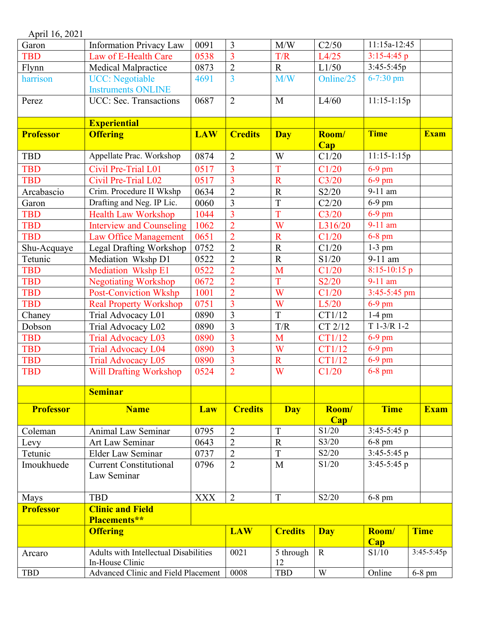| April 16, 2021   |                                              |            |                         |                |              |                |             |
|------------------|----------------------------------------------|------------|-------------------------|----------------|--------------|----------------|-------------|
| Garon            | <b>Information Privacy Law</b>               | 0091       | $\overline{3}$          | M/W            | C2/50        | $11:15a-12:45$ |             |
| <b>TBD</b>       | Law of E-Health Care                         | 0538       | $\overline{3}$          | T/R            | L4/25        | $3:15-4:45$ p  |             |
| Flynn            | Medical Malpractice                          | 0873       | $\overline{2}$          | $\mathbf R$    | L1/50        | $3:45-5:45p$   |             |
| harrison         | <b>UCC:</b> Negotiable                       | 4691       | $\overline{3}$          | M/W            | Online/25    | $6 - 7:30$ pm  |             |
|                  | <b>Instruments ONLINE</b>                    |            |                         |                |              |                |             |
| Perez            | UCC: Sec. Transactions                       | 0687       | $\overline{2}$          | M              | L4/60        | $11:15-1:15p$  |             |
|                  |                                              |            |                         |                |              |                |             |
|                  | <b>Experiential</b>                          |            |                         |                |              |                |             |
| <b>Professor</b> | <b>Offering</b>                              | <b>LAW</b> | <b>Credits</b>          | <b>Day</b>     | Room/<br>Cap | <b>Time</b>    | <b>Exam</b> |
| <b>TBD</b>       | Appellate Prac. Workshop                     | 0874       | $\overline{2}$          | W              | C1/20        | $11:15-1:15p$  |             |
| <b>TBD</b>       | Civil Pre-Trial L01                          | 0517       | $\overline{3}$          | T              | C1/20        | $6-9$ pm       |             |
| <b>TBD</b>       | Civil Pre-Trial L02                          | 0517       | $\overline{3}$          | $\mathbf R$    | C3/20        | $6-9$ pm       |             |
| Arcabascio       | Crim. Procedure II Wkshp                     | 0634       | $\overline{2}$          | $\mathbf R$    | S2/20        | 9-11 am        |             |
| Garon            | Drafting and Neg. IP Lic.                    | 0060       | $\overline{3}$          | $\overline{T}$ | C2/20        | $6-9$ pm       |             |
| <b>TBD</b>       | <b>Health Law Workshop</b>                   | 1044       | $\overline{3}$          | T              | C3/20        | 6-9 pm         |             |
| <b>TBD</b>       | <b>Interview and Counseling</b>              | 1062       | $\overline{2}$          | W              | L316/20      | 9-11 am        |             |
| <b>TBD</b>       | <b>Law Office Management</b>                 | 0651       | $\overline{2}$          | $\mathbf R$    | C1/20        | 6-8 pm         |             |
|                  |                                              | 0752       | $\overline{2}$          | $\mathbf R$    | C1/20        | $1-3$ pm       |             |
| Shu-Acquaye      | Legal Drafting Workshop                      |            |                         |                |              |                |             |
| Tetunic          | Mediation Wkshp D1                           | 0522       | $\overline{2}$          | $\mathbf R$    | S1/20        | 9-11 am        |             |
| <b>TBD</b>       | Mediation Wkshp E1                           | 0522       | $\overline{2}$          | M              | C1/20        | 8:15-10:15 p   |             |
| <b>TBD</b>       | <b>Negotiating Workshop</b>                  | 0672       | $\overline{2}$          | T              | S2/20        | 9-11 am        |             |
| <b>TBD</b>       | <b>Post-Conviction Wkshp</b>                 | 1001       | $\overline{2}$          | W              | C1/20        | $3:45-5:45$ pm |             |
| <b>TBD</b>       | <b>Real Property Workshop</b>                | 0751       | $\overline{3}$          | W              | L5/20        | $6-9$ pm       |             |
| Chaney           | Trial Advocacy L01                           | 0890       | $\overline{\mathbf{3}}$ | $\overline{T}$ | CT1/12       | $1-4$ pm       |             |
| Dobson           | Trial Advocacy L02                           | 0890       | 3                       | T/R            | CT 2/12      | $T$ 1-3/R 1-2  |             |
| <b>TBD</b>       | <b>Trial Advocacy L03</b>                    | 0890       | $\overline{3}$          | M              | CT1/12       | $6-9$ pm       |             |
| <b>TBD</b>       | <b>Trial Advocacy L04</b>                    | 0890       | $\overline{3}$          | W              | CT1/12       | $6-9$ pm       |             |
| <b>TBD</b>       | <b>Trial Advocacy L05</b>                    | 0890       | $\overline{3}$          | $\mathbf R$    | CT1/12       | $6-9$ pm       |             |
| <b>TBD</b>       | <b>Will Drafting Workshop</b>                | 0524       | $\overline{2}$          | W              | C1/20        | $6-8$ pm       |             |
|                  | <b>Seminar</b>                               |            |                         |                |              |                |             |
| <b>Professor</b> | <b>Name</b>                                  | Law        | <b>Credits</b>          | <b>Day</b>     | Room/        | <b>Time</b>    | <b>Exam</b> |
|                  |                                              |            |                         |                | Cap          |                |             |
| Coleman          | Animal Law Seminar                           | 0795       | $\overline{2}$          | T              | S1/20        | $3:45-5:45$ p  |             |
| Levy             | Art Law Seminar                              | 0643       | $\overline{2}$          | $\mathbf R$    | S3/20        | $6-8$ pm       |             |
| Tetunic          | <b>Elder Law Seminar</b>                     | 0737       | $\overline{2}$          | $\mathbf T$    | S2/20        | $3:45-5:45$ p  |             |
| Imoukhuede       | <b>Current Constitutional</b>                | 0796       | $\overline{2}$          | M              | S1/20        | $3:45-5:45$ p  |             |
|                  | Law Seminar                                  |            |                         |                |              |                |             |
| Mays             | <b>TBD</b>                                   | <b>XXX</b> | $\overline{2}$          | T              | S2/20        | $6-8$ pm       |             |
| <b>Professor</b> | <b>Clinic and Field</b>                      |            |                         |                |              |                |             |
|                  | Placements**                                 |            |                         |                |              |                |             |
|                  | <b>Offering</b>                              |            | <b>LAW</b>              | <b>Credits</b> | <b>Day</b>   | Room/          | <b>Time</b> |
|                  |                                              |            |                         |                |              | Cap            |             |
| Arcaro           | <b>Adults with Intellectual Disabilities</b> |            | 0021                    | 5 through      | $\mathbf R$  | S1/10          | 3:45-5:45p  |
|                  | In-House Clinic                              |            |                         | 12             |              |                |             |
| <b>TBD</b>       | Advanced Clinic and Field Placement          |            | 0008                    | <b>TBD</b>     | W            | Online         | $6-8$ pm    |